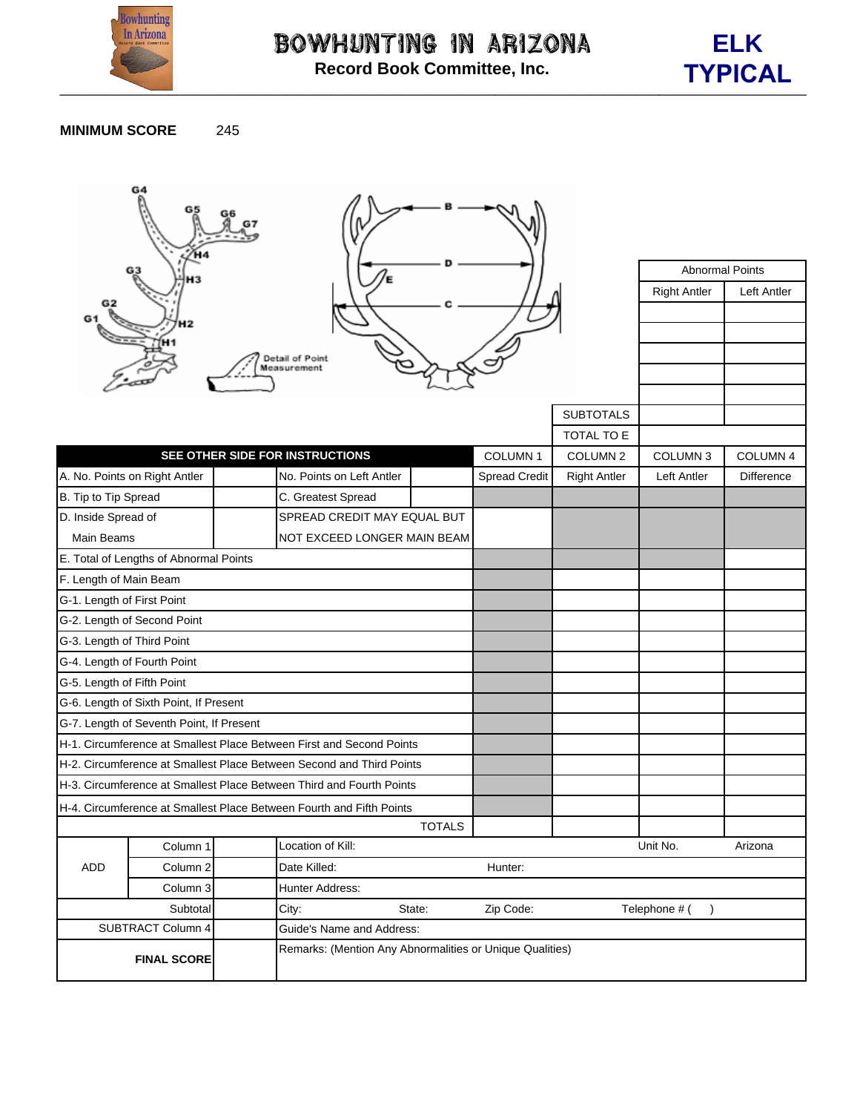

## **MINIMUM SCORE** 245

| G2                                                                   | G4<br>G3                                 |                                               | Detail of Point<br>Measurement                                       |               |                      | <b>SUBTOTALS</b>    | <b>Abnormal Points</b><br><b>Right Antler</b> | Left Antler         |  |
|----------------------------------------------------------------------|------------------------------------------|-----------------------------------------------|----------------------------------------------------------------------|---------------|----------------------|---------------------|-----------------------------------------------|---------------------|--|
|                                                                      |                                          |                                               |                                                                      |               |                      | TOTAL TO E          |                                               |                     |  |
|                                                                      |                                          |                                               | SEE OTHER SIDE FOR INSTRUCTIONS                                      |               | COLUMN <sub>1</sub>  | COLUMN <sub>2</sub> | COLUMN <sub>3</sub>                           | COLUMN <sub>4</sub> |  |
|                                                                      | A. No. Points on Right Antler            |                                               | No. Points on Left Antler                                            |               | <b>Spread Credit</b> | <b>Right Antler</b> | Left Antler                                   | <b>Difference</b>   |  |
| B. Tip to Tip Spread                                                 |                                          |                                               | C. Greatest Spread                                                   |               |                      |                     |                                               |                     |  |
| D. Inside Spread of                                                  |                                          |                                               | SPREAD CREDIT MAY EQUAL BUT                                          |               |                      |                     |                                               |                     |  |
| Main Beams                                                           |                                          |                                               | NOT EXCEED LONGER MAIN BEAM                                          |               |                      |                     |                                               |                     |  |
|                                                                      | E. Total of Lengths of Abnormal Points   |                                               |                                                                      |               |                      |                     |                                               |                     |  |
| F. Length of Main Beam                                               |                                          |                                               |                                                                      |               |                      |                     |                                               |                     |  |
| G-1. Length of First Point                                           |                                          |                                               |                                                                      |               |                      |                     |                                               |                     |  |
| G-2. Length of Second Point                                          |                                          |                                               |                                                                      |               |                      |                     |                                               |                     |  |
| G-3. Length of Third Point                                           |                                          |                                               |                                                                      |               |                      |                     |                                               |                     |  |
| G-4. Length of Fourth Point                                          |                                          |                                               |                                                                      |               |                      |                     |                                               |                     |  |
| G-5. Length of Fifth Point                                           |                                          |                                               |                                                                      |               |                      |                     |                                               |                     |  |
| G-6. Length of Sixth Point, If Present                               |                                          |                                               |                                                                      |               |                      |                     |                                               |                     |  |
|                                                                      | G-7. Length of Seventh Point, If Present |                                               |                                                                      |               |                      |                     |                                               |                     |  |
|                                                                      |                                          |                                               | H-1. Circumference at Smallest Place Between First and Second Points |               |                      |                     |                                               |                     |  |
|                                                                      |                                          |                                               | H-2. Circumference at Smallest Place Between Second and Third Points |               |                      |                     |                                               |                     |  |
| H-3. Circumference at Smallest Place Between Third and Fourth Points |                                          |                                               |                                                                      |               |                      |                     |                                               |                     |  |
|                                                                      |                                          |                                               | H-4. Circumference at Smallest Place Between Fourth and Fifth Points |               |                      |                     |                                               |                     |  |
|                                                                      |                                          |                                               |                                                                      | <b>TOTALS</b> |                      |                     |                                               |                     |  |
| ADD                                                                  | Column 1                                 |                                               | Location of Kill:                                                    |               |                      |                     | Unit No.                                      | Arizona             |  |
|                                                                      | Column 2                                 |                                               | Date Killed:                                                         |               | Hunter:              |                     |                                               |                     |  |
|                                                                      | Column 3                                 |                                               | Hunter Address:                                                      |               |                      |                     |                                               |                     |  |
| Subtotal                                                             |                                          | Zip Code:<br>Telephone # (<br>City:<br>State: |                                                                      |               |                      |                     |                                               |                     |  |
| SUBTRACT Column 4                                                    |                                          | Guide's Name and Address:                     |                                                                      |               |                      |                     |                                               |                     |  |
| <b>FINAL SCORE</b>                                                   |                                          |                                               | Remarks: (Mention Any Abnormalities or Unique Qualities)             |               |                      |                     |                                               |                     |  |